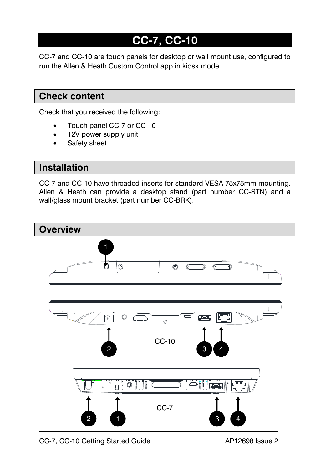# **CC-7, CC-10**

CC-7 and CC-10 are touch panels for desktop or wall mount use, configured to run the Allen & Heath Custom Control app in kiosk mode.

### **Check content**

Check that you received the following:

- Touch panel CC-7 or CC-10
- 12V power supply unit
- Safety sheet

#### **Installation**

CC-7 and CC-10 have threaded inserts for standard VESA 75x75mm mounting. Allen & Heath can provide a desktop stand (part number CC-STN) and a wall/glass mount bracket (part number CC-BRK).

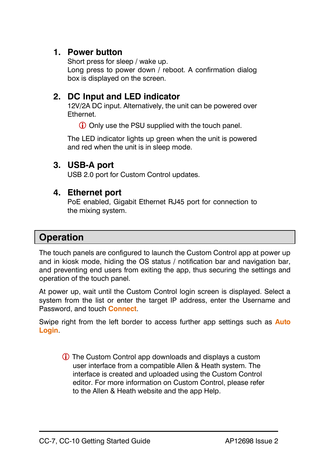#### **1. Power button**

Short press for sleep / wake up. Long press to power down / reboot. A confirmation dialog box is displayed on the screen.

#### **2. DC Input and LED indicator**

12V/2A DC input. Alternatively, the unit can be powered over Ethernet.

Only use the PSU supplied with the touch panel.

The LED indicator lights up green when the unit is powered and red when the unit is in sleep mode.

#### **3. USB-A port**

USB 2.0 port for Custom Control updates.

#### **4. Ethernet port**

PoE enabled, Gigabit Ethernet RJ45 port for connection to the mixing system.

## **Operation**

The touch panels are configured to launch the Custom Control app at power up and in kiosk mode, hiding the OS status / notification bar and navigation bar, and preventing end users from exiting the app, thus securing the settings and operation of the touch panel.

At power up, wait until the Custom Control login screen is displayed. Select a system from the list or enter the target IP address, enter the Username and Password, and touch **Connect**.

Swipe right from the left border to access further app settings such as **Auto Login**.

 The Custom Control app downloads and displays a custom user interface from a compatible Allen & Heath system. The interface is created and uploaded using the Custom Control editor. For more information on Custom Control, please refer to the Allen & Heath website and the app Help.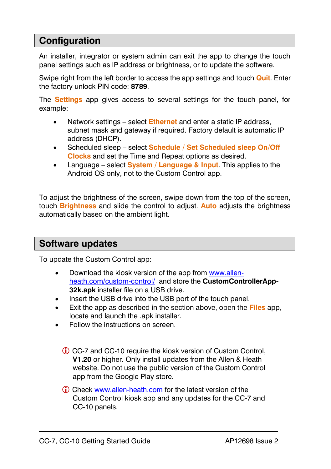## **Configuration**

An installer, integrator or system admin can exit the app to change the touch panel settings such as IP address or brightness, or to update the software.

Swipe right from the left border to access the app settings and touch **Quit**. Enter the factory unlock PIN code: **8789**.

The **Settings** app gives access to several settings for the touch panel, for example:

- Network settings select **Ethernet** and enter a static IP address, subnet mask and gateway if required. Factory default is automatic IP address (DHCP).
- Scheduled sleep select **Schedule / Set Scheduled sleep On/Off Clocks** and set the Time and Repeat options as desired.
- Language select **System / Language & Input**. This applies to the Android OS only, not to the Custom Control app.

To adjust the brightness of the screen, swipe down from the top of the screen, touch **Brightness** and slide the control to adjust. **Auto** adjusts the brightness automatically based on the ambient light.

#### **Software updates**

To update the Custom Control app:

- Download the kiosk version of the app from [www.allen](http://www.allen-heath.com/custom-control/)[heath.com/custom-control/](http://www.allen-heath.com/custom-control/) and store the **CustomControllerApp-32k.apk** installer file on a USB drive.
- Insert the USB drive into the USB port of the touch panel.
- Exit the app as described in the section above, open the **Files** app, locate and launch the .apk installer.
- Follow the instructions on screen.
	- CC-7 and CC-10 require the kiosk version of Custom Control, **V1.20** or higher. Only install updates from the Allen & Heath website. Do not use the public version of the Custom Control app from the Google Play store.
	- Check [www.allen-heath.com](http://www.allen-heath.com/) for the latest version of the Custom Control kiosk app and any updates for the CC-7 and CC-10 panels.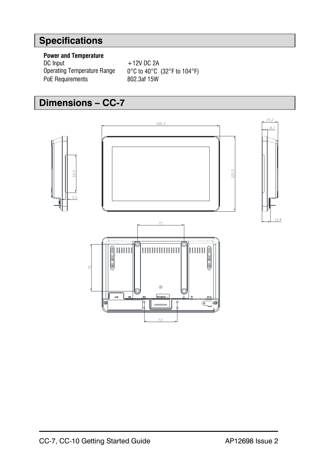## **Specifications**

# **Power and Temperature**<br>DC Input

DC Input  $+12V$  DC 2A<br>Operating Temperature Range  $0^{\circ}$ C to 40°C PoE Requirements

 $0^{\circ}$ C to 40°C (32°F to 104°F)<br>802.3af 15W

## **Dimensions – CC-7**